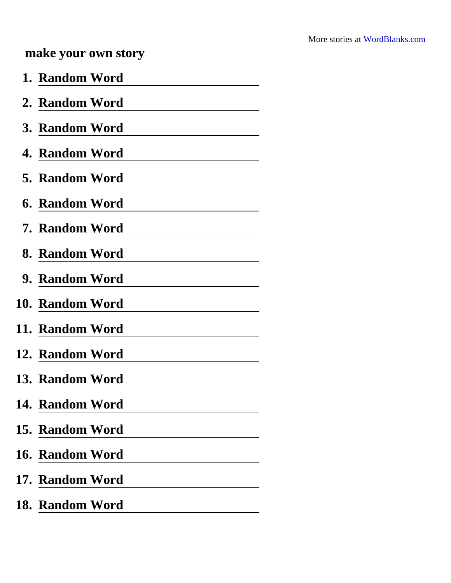## make your own story

| 1. Random Word  |
|-----------------|
| 2. Random Word  |
| 3. Random Word  |
| 4. Random Word  |
| 5. Random Word  |
| 6. Random Word  |
| 7. Random Word  |
| 8. Random Word  |
| 9. Random Word  |
| 10. Random Word |
| 11. Random Word |
| 12. Random Word |
| 13. Random Word |
| 14. Random Word |
| 15. Random Word |
| 16. Random Word |
| 17. Random Word |
| 18. Random Word |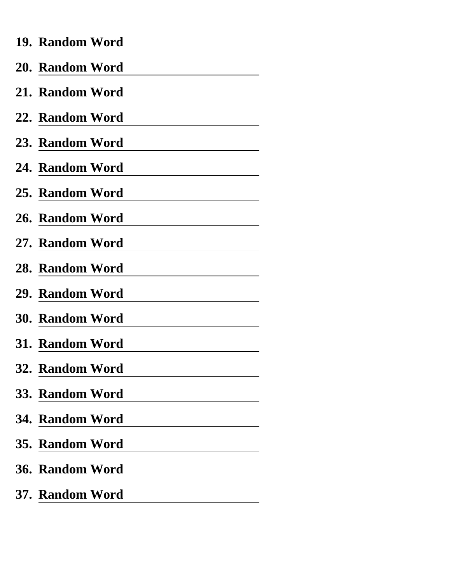| 19. Random Word                                                                                                                             |
|---------------------------------------------------------------------------------------------------------------------------------------------|
| 20. Random Word                                                                                                                             |
| 21. Random Word<br><u> 1990 - Johann Barbara, politik eta politik eta politik eta politik eta politik eta politik eta politik eta p</u> oli |
| 22. Random Word                                                                                                                             |
| 23. Random Word                                                                                                                             |
| 24. Random Word                                                                                                                             |
| 25. Random Word                                                                                                                             |
| 26. Random Word                                                                                                                             |
| 27. Random Word                                                                                                                             |
| 28. Random Word                                                                                                                             |
| 29. Random Word                                                                                                                             |
| <b>30. Random Word</b>                                                                                                                      |
| 31. Random Word                                                                                                                             |
| 32. Random Word                                                                                                                             |
| 33. Random Word                                                                                                                             |
| 34. Random Word                                                                                                                             |
| 35. Random Word                                                                                                                             |
| 36. Random Word                                                                                                                             |
| 37. Random Word                                                                                                                             |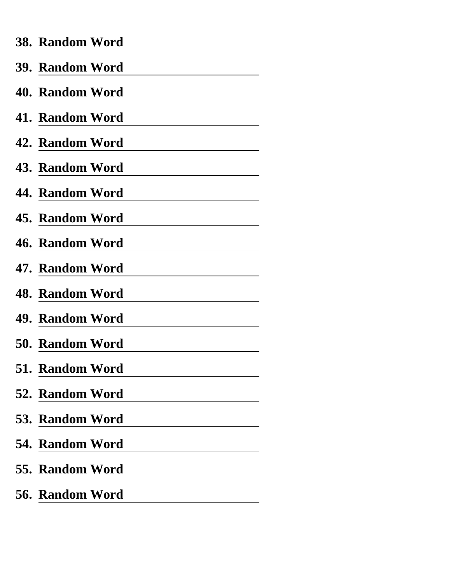| 38. Random Word                                                                                                                             |
|---------------------------------------------------------------------------------------------------------------------------------------------|
| 39. Random Word                                                                                                                             |
| 40. Random Word<br><u> 1990 - Johann Barbara, politik eta politik eta politik eta politik eta politik eta politik eta politik eta p</u> oli |
| 41. Random Word                                                                                                                             |
| 42. Random Word                                                                                                                             |
| 43. Random Word                                                                                                                             |
| 44. Random Word                                                                                                                             |
| 45. Random Word                                                                                                                             |
| 46. Random Word                                                                                                                             |
| 47. Random Word                                                                                                                             |
| 48. Random Word                                                                                                                             |
| 49. Random Word                                                                                                                             |
| 50. Random Word                                                                                                                             |
| 51. Random Word                                                                                                                             |
| 52. Random Word                                                                                                                             |
| 53. Random Word                                                                                                                             |
| 54. Random Word                                                                                                                             |
| 55. Random Word                                                                                                                             |
| 56. Random Word                                                                                                                             |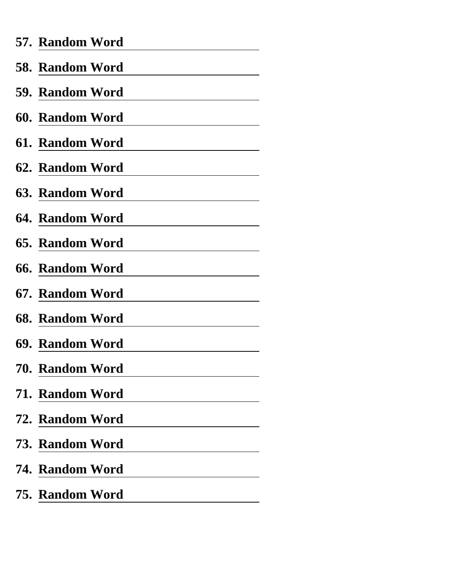| 57. Random Word        |
|------------------------|
| 58. Random Word        |
| 59. Random Word        |
| 60. Random Word        |
| 61. Random Word        |
| 62. Random Word        |
| 63. Random Word        |
| 64. Random Word        |
| 65. Random Word        |
| <b>66. Random Word</b> |
| 67. Random Word        |
| 68. Random Word        |
| 69. Random Word        |
| 70. Random Word        |
| 71. Random Word        |
| 72. Random Word        |
| 73. Random Word        |
| 74. Random Word        |
| 75. Random Word        |